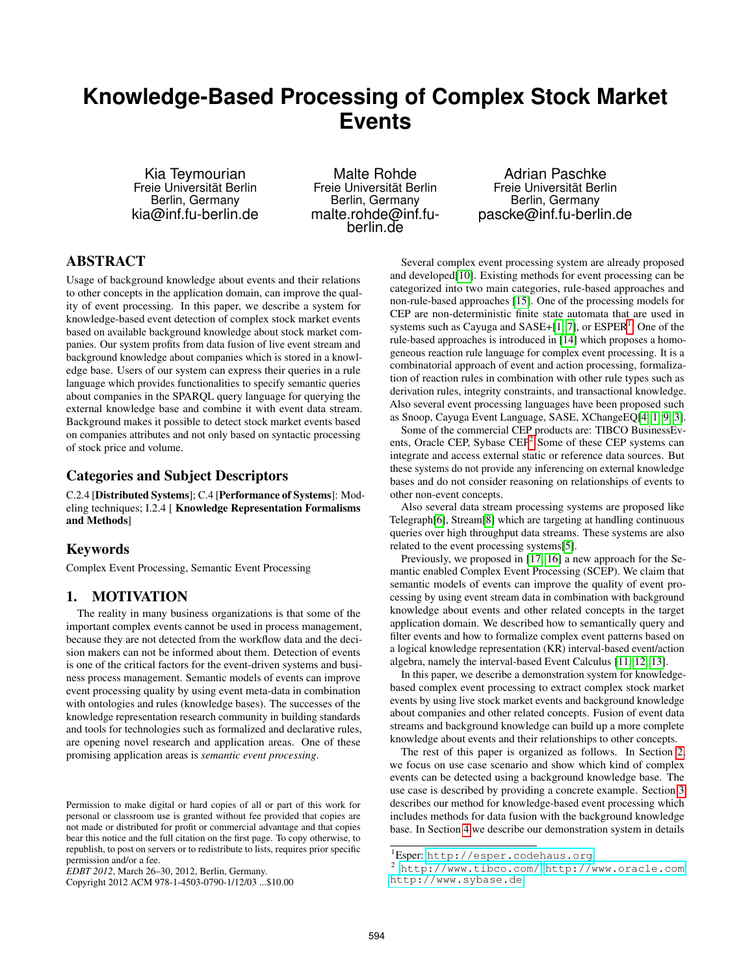# **Knowledge-Based Processing of Complex Stock Market Events**

Kia Teymourian Freie Universität Berlin Berlin, Germany kia@inf.fu-berlin.de

Malte Rohde Freie Universität Berlin Berlin, Germany malte.rohde@inf.fuberlin.de

Adrian Paschke Freie Universität Berlin Berlin, Germany pascke@inf.fu-berlin.de

# ABSTRACT

Usage of background knowledge about events and their relations to other concepts in the application domain, can improve the quality of event processing. In this paper, we describe a system for knowledge-based event detection of complex stock market events based on available background knowledge about stock market companies. Our system profits from data fusion of live event stream and background knowledge about companies which is stored in a knowledge base. Users of our system can express their queries in a rule language which provides functionalities to specify semantic queries about companies in the SPARQL query language for querying the external knowledge base and combine it with event data stream. Background makes it possible to detect stock market events based on companies attributes and not only based on syntactic processing of stock price and volume.

### Categories and Subject Descriptors

C.2.4 [Distributed Systems]; C.4 [Performance of Systems]: Modeling techniques; I.2.4 [ Knowledge Representation Formalisms and Methods]

#### Keywords

Complex Event Processing, Semantic Event Processing

#### 1. MOTIVATION

The reality in many business organizations is that some of the important complex events cannot be used in process management, because they are not detected from the workflow data and the decision makers can not be informed about them. Detection of events is one of the critical factors for the event-driven systems and business process management. Semantic models of events can improve event processing quality by using event meta-data in combination with ontologies and rules (knowledge bases). The successes of the knowledge representation research community in building standards and tools for technologies such as formalized and declarative rules, are opening novel research and application areas. One of these promising application areas is *semantic event processing*.

Copyright 2012 ACM 978-1-4503-0790-1/12/03 ...\$10.00

Several complex event processing system are already proposed and developed[10]. Existing methods for event processing can be categorized into two main categories, rule-based approaches and non-rule-based approaches [15]. One of the processing models for CEP are non-deterministic finite state automata that are used in systems such as Cayuga and  $SASE+[1, 7]$ , or  $ESPER<sup>1</sup>$ . One of the rule-based approaches is introduced in [14] which proposes a homogeneous reaction rule language for complex event processing. It is a combinatorial approach of event and action processing, formalization of reaction rules in combination with other rule types such as derivation rules, integrity constraints, and transactional knowledge. Also several event processing languages have been proposed such as Snoop, Cayuga Event Language, SASE, XChangeEQ[4, 1, 9, 3].

Some of the commercial CEP products are: TIBCO BusinessEvents, Oracle CEP, Sybase CEP<sup>2</sup> Some of these CEP systems can integrate and access external static or reference data sources. But these systems do not provide any inferencing on external knowledge bases and do not consider reasoning on relationships of events to other non-event concepts.

Also several data stream processing systems are proposed like Telegraph[6], Stream[8] which are targeting at handling continuous queries over high throughput data streams. These systems are also related to the event processing systems[5].

Previously, we proposed in [17, 16] a new approach for the Semantic enabled Complex Event Processing (SCEP). We claim that semantic models of events can improve the quality of event processing by using event stream data in combination with background knowledge about events and other related concepts in the target application domain. We described how to semantically query and filter events and how to formalize complex event patterns based on a logical knowledge representation (KR) interval-based event/action algebra, namely the interval-based Event Calculus [11, 12, 13].

In this paper, we describe a demonstration system for knowledgebased complex event processing to extract complex stock market events by using live stock market events and background knowledge about companies and other related concepts. Fusion of event data streams and background knowledge can build up a more complete knowledge about events and their relationships to other concepts.

The rest of this paper is organized as follows. In Section 2, we focus on use case scenario and show which kind of complex events can be detected using a background knowledge base. The use case is described by providing a concrete example. Section 3 describes our method for knowledge-based event processing which includes methods for data fusion with the background knowledge base. In Section 4 we describe our demonstration system in details

Permission to make digital or hard copies of all or part of this work for personal or classroom use is granted without fee provided that copies are not made or distributed for profit or commercial advantage and that copies bear this notice and the full citation on the first page. To copy otherwise, to republish, to post on servers or to redistribute to lists, requires prior specific permission and/or a fee.

*EDBT 2012*, March 26–30, 2012, Berlin, Germany.

<sup>1</sup>Esper: <http://esper.codehaus.org>

<sup>2</sup> <http://www.tibco.com/><http://www.oracle.com> <http://www.sybase.de>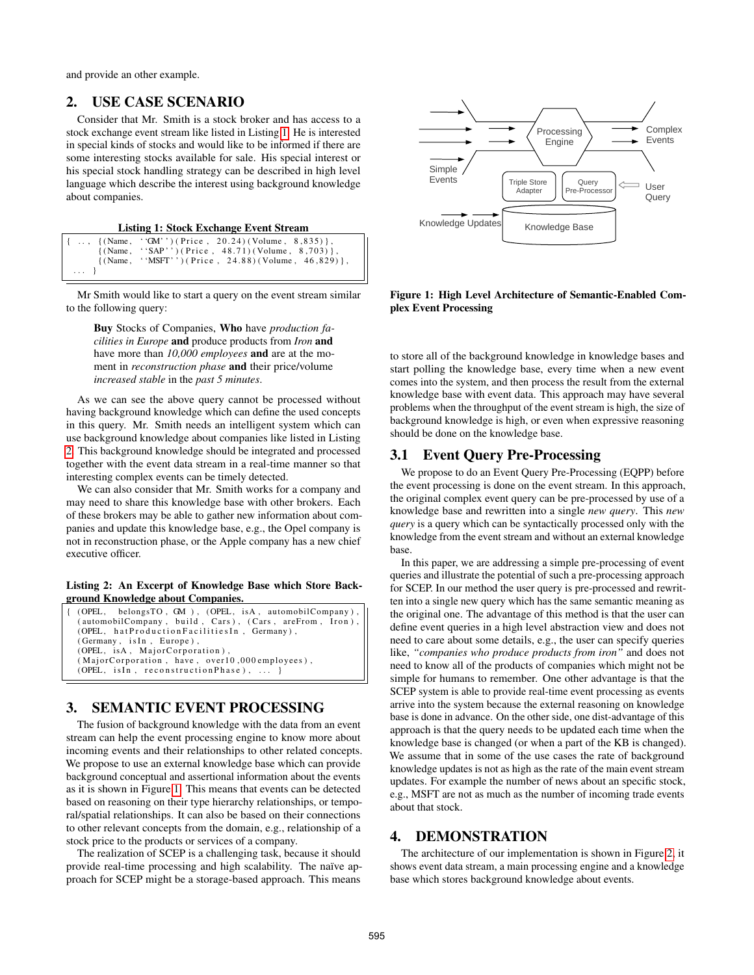and provide an other example.

# 2. USE CASE SCENARIO

Consider that Mr. Smith is a stock broker and has access to a stock exchange event stream like listed in Listing 1. He is interested in special kinds of stocks and would like to be informed if there are some interesting stocks available for sale. His special interest or his special stock handling strategy can be described in high level language which describe the interest using background knowledge about companies.

Listing 1: Stock Exchange Event Stream

|            | $\{\ldots, \{\text{(Name, 'GM'')}(\text{Price } , 20.24)(\text{Volume } , 8.835)\}\}$ |
|------------|---------------------------------------------------------------------------------------|
|            | $\{(Name, 'SAP'') (Price, 48.71) (Volume, 8.703)\},\$                                 |
|            | $\{(Name, ' 'MSFT'') ( Price, 24.88) (Volume, 46.829)\},\$                            |
| $\ldots$ } |                                                                                       |

Mr Smith would like to start a query on the event stream similar to the following query:

Buy Stocks of Companies, Who have *production facilities in Europe* and produce products from *Iron* and have more than *10,000 employees* and are at the moment in *reconstruction phase* and their price/volume *increased stable* in the *past 5 minutes*.

As we can see the above query cannot be processed without having background knowledge which can define the used concepts in this query. Mr. Smith needs an intelligent system which can use background knowledge about companies like listed in Listing 2. This background knowledge should be integrated and processed together with the event data stream in a real-time manner so that interesting complex events can be timely detected.

We can also consider that Mr. Smith works for a company and may need to share this knowledge base with other brokers. Each of these brokers may be able to gather new information about companies and update this knowledge base, e.g., the Opel company is not in reconstruction phase, or the Apple company has a new chief executive officer.

Listing 2: An Excerpt of Knowledge Base which Store Background Knowledge about Companies.

| { (OPEL, belongsTO, GM), (OPEL, isA, automobilCompany), |  |  |  |
|---------------------------------------------------------|--|--|--|
| (automobilCompany, build, Cars), (Cars, areFrom, Iron), |  |  |  |
| (OPEL, hatProductionFacilitiesIn, Germany),             |  |  |  |
| (Germany, isIn, Europe),                                |  |  |  |
| (OPEL, isA, MajorCorporation),                          |  |  |  |
| (MajorCorporation, have, over10,000 employees),         |  |  |  |
| (OPEL, is In, reconstruction Phase), $\dots$ }          |  |  |  |

# 3. SEMANTIC EVENT PROCESSING

The fusion of background knowledge with the data from an event stream can help the event processing engine to know more about incoming events and their relationships to other related concepts. We propose to use an external knowledge base which can provide background conceptual and assertional information about the events as it is shown in Figure 1. This means that events can be detected based on reasoning on their type hierarchy relationships, or temporal/spatial relationships. It can also be based on their connections to other relevant concepts from the domain, e.g., relationship of a stock price to the products or services of a company.

The realization of SCEP is a challenging task, because it should provide real-time processing and high scalability. The naïve approach for SCEP might be a storage-based approach. This means



Figure 1: High Level Architecture of Semantic-Enabled Complex Event Processing

to store all of the background knowledge in knowledge bases and start polling the knowledge base, every time when a new event comes into the system, and then process the result from the external knowledge base with event data. This approach may have several problems when the throughput of the event stream is high, the size of background knowledge is high, or even when expressive reasoning should be done on the knowledge base.

# 3.1 Event Query Pre-Processing

We propose to do an Event Query Pre-Processing (EQPP) before the event processing is done on the event stream. In this approach, the original complex event query can be pre-processed by use of a knowledge base and rewritten into a single *new query*. This *new query* is a query which can be syntactically processed only with the knowledge from the event stream and without an external knowledge base.

In this paper, we are addressing a simple pre-processing of event queries and illustrate the potential of such a pre-processing approach for SCEP. In our method the user query is pre-processed and rewritten into a single new query which has the same semantic meaning as the original one. The advantage of this method is that the user can define event queries in a high level abstraction view and does not need to care about some details, e.g., the user can specify queries like, *"companies who produce products from iron"* and does not need to know all of the products of companies which might not be simple for humans to remember. One other advantage is that the SCEP system is able to provide real-time event processing as events arrive into the system because the external reasoning on knowledge base is done in advance. On the other side, one dist-advantage of this approach is that the query needs to be updated each time when the knowledge base is changed (or when a part of the KB is changed). We assume that in some of the use cases the rate of background knowledge updates is not as high as the rate of the main event stream updates. For example the number of news about an specific stock, e.g., MSFT are not as much as the number of incoming trade events about that stock.

### 4. DEMONSTRATION

The architecture of our implementation is shown in Figure 2, it shows event data stream, a main processing engine and a knowledge base which stores background knowledge about events.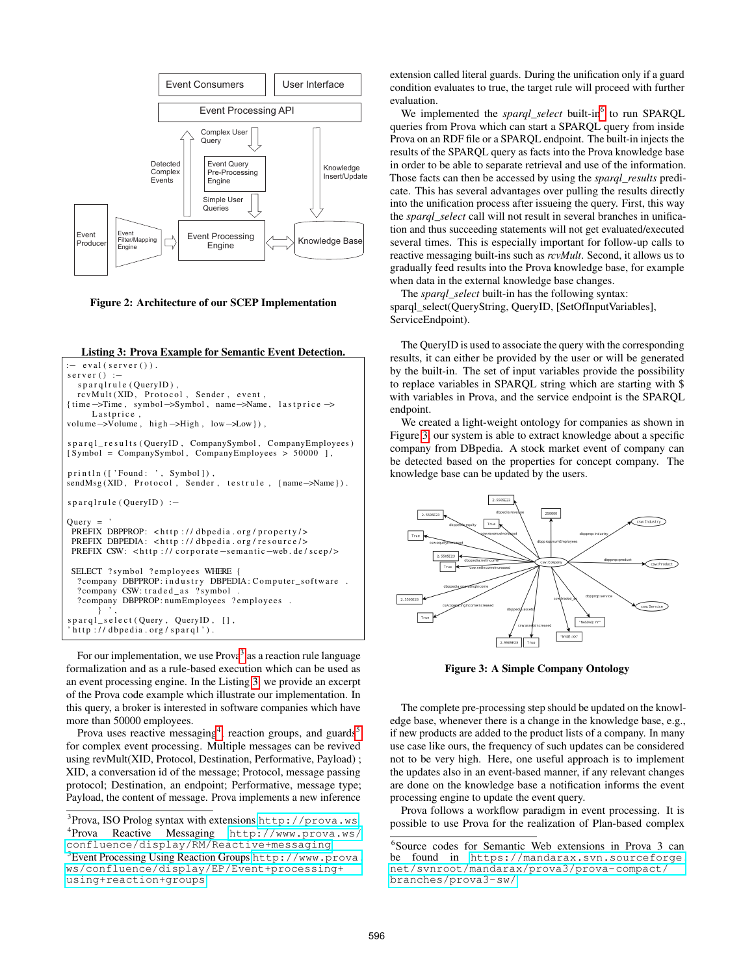

Figure 2: Architecture of our SCEP Implementation

#### Listing 3: Prova Example for Semantic Event Detection.

```
- eval (server ()).
s erver ( ) :–
  sparqlrule (QueryID),
  rcvMult(XID, Proto col, Sender, event,{ time−>Time , symbol−>Symbol , name−>Name , l a s t p r i c e −>
     Lastprice,
volume→Volume, high→High, low→Low }).
sparq1_results (QueryID, CompanySymbol, CompanyEmployes)[ Symbol = CompanySymbol , CompanyEmployees > 50000 ] ,
print n (['Found: ', Symbol]),
sendMsg(XID, Protocol, Sender, testrule, {name->Name}).
span q l rule (OueryID) :-
Query =PREFIX DBPPROP: <http://dbpedia.org/property/>
 PREFIX DBPEDIA: <http://dbpedia.org/resource/>
 PREFIX CSW: <http://corporate-semantic-web.de/scep/>
 SELECT ? symbol ? employees WHERE
  ? company DBPPROP: industry DBPEDIA: Computer_software.
  ? company CSW: traded_as ? symbol
  ? company DBPPROP: numEmployees ? employees .
} ',<br>sparql_select(Query, QueryID, [],<br>'http://dbpedia.org/sparql').
```
For our implementation, we use Prova<sup>3</sup> as a reaction rule language formalization and as a rule-based execution which can be used as an event processing engine. In the Listing 3, we provide an excerpt of the Prova code example which illustrate our implementation. In this query, a broker is interested in software companies which have more than 50000 employees.

Prova uses reactive messaging<sup>4</sup>, reaction groups, and guards<sup>5</sup> for complex event processing. Multiple messages can be revived using revMult(XID, Protocol, Destination, Performative, Payload) ; XID, a conversation id of the message; Protocol, message passing protocol; Destination, an endpoint; Performative, message type; Payload, the content of message. Prova implements a new inference extension called literal guards. During the unification only if a guard condition evaluates to true, the target rule will proceed with further evaluation.

We implemented the *sparql\_select* built-in<sup>6</sup> to run SPARQL queries from Prova which can start a SPARQL query from inside Prova on an RDF file or a SPARQL endpoint. The built-in injects the results of the SPARQL query as facts into the Prova knowledge base in order to be able to separate retrieval and use of the information. Those facts can then be accessed by using the *sparql\_results* predicate. This has several advantages over pulling the results directly into the unification process after issueing the query. First, this way the *sparql\_select* call will not result in several branches in unification and thus succeeding statements will not get evaluated/executed several times. This is especially important for follow-up calls to reactive messaging built-ins such as *rcvMult*. Second, it allows us to gradually feed results into the Prova knowledge base, for example when data in the external knowledge base changes.

The *sparql\_select* built-in has the following syntax: sparql\_select(QueryString, QueryID, [SetOfInputVariables], ServiceEndpoint).

The QueryID is used to associate the query with the corresponding results, it can either be provided by the user or will be generated by the built-in. The set of input variables provide the possibility to replace variables in SPARQL string which are starting with \$ with variables in Prova, and the service endpoint is the SPARQL endpoint.

We created a light-weight ontology for companies as shown in Figure 3, our system is able to extract knowledge about a specific company from DBpedia. A stock market event of company can be detected based on the properties for concept company. The knowledge base can be updated by the users.



Figure 3: A Simple Company Ontology

The complete pre-processing step should be updated on the knowledge base, whenever there is a change in the knowledge base, e.g., if new products are added to the product lists of a company. In many use case like ours, the frequency of such updates can be considered not to be very high. Here, one useful approach is to implement the updates also in an event-based manner, if any relevant changes are done on the knowledge base a notification informs the event processing engine to update the event query.

Prova follows a workflow paradigm in event processing. It is possible to use Prova for the realization of Plan-based complex

<sup>&</sup>lt;sup>3</sup>Prova, ISO Prolog syntax with extensions <http://prova.ws> 4 Prova Reactive Messaging [http://www.prova.ws/](http://www.prova.ws/confluence/display/RM/Reactive+messaging) [confluence/display/RM/Reactive+messaging](http://www.prova.ws/confluence/display/RM/Reactive+messaging) <sup>5</sup>Event Processing Using Reaction Groups [http://www.prova.](http://www.prova.ws/confluence/display/EP/Event+processing+using+reaction+groups) [ws/confluence/display/EP/Event+processing+](http://www.prova.ws/confluence/display/EP/Event+processing+using+reaction+groups) [using+reaction+groups](http://www.prova.ws/confluence/display/EP/Event+processing+using+reaction+groups)

<sup>6</sup> Source codes for Semantic Web extensions in Prova 3 can be found in [https://mandarax.svn.sourceforge.](https://mandarax.svn.sourceforge.net/svnroot/mandarax/prova3/prova-compact/branches/prova3-sw/) [net/svnroot/mandarax/prova3/prova-compact/](https://mandarax.svn.sourceforge.net/svnroot/mandarax/prova3/prova-compact/branches/prova3-sw/) [branches/prova3-sw/](https://mandarax.svn.sourceforge.net/svnroot/mandarax/prova3/prova-compact/branches/prova3-sw/)